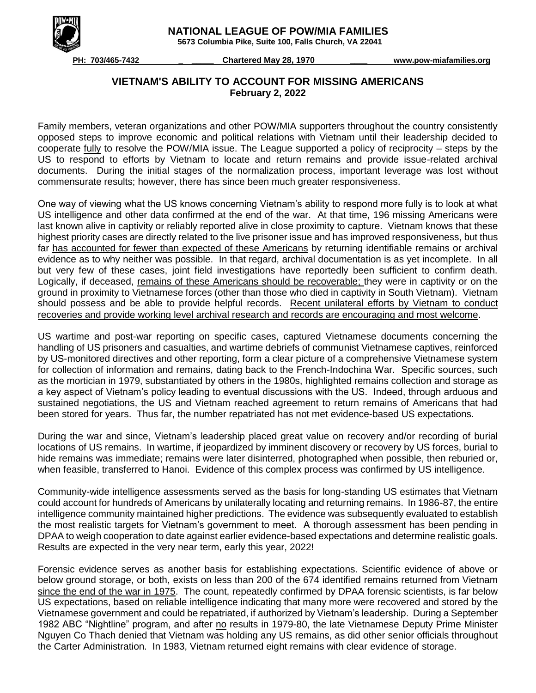

 **5673 Columbia Pike, Suite 100, Falls Church, VA 22041**



 **PH: 703/465-7432 \_ \_\_\_\_\_ Chartered May 28, 1970 \_\_\_\_ www.pow-miafamilies.org**

## **VIETNAM'S ABILITY TO ACCOUNT FOR MISSING AMERICANS February 2, 2022**

Family members, veteran organizations and other POW/MIA supporters throughout the country consistently opposed steps to improve economic and political relations with Vietnam until their leadership decided to cooperate fully to resolve the POW/MIA issue. The League supported a policy of reciprocity – steps by the US to respond to efforts by Vietnam to locate and return remains and provide issue-related archival documents. During the initial stages of the normalization process, important leverage was lost without commensurate results; however, there has since been much greater responsiveness.

One way of viewing what the US knows concerning Vietnam's ability to respond more fully is to look at what US intelligence and other data confirmed at the end of the war. At that time, 196 missing Americans were last known alive in captivity or reliably reported alive in close proximity to capture. Vietnam knows that these highest priority cases are directly related to the live prisoner issue and has improved responsiveness, but thus far has accounted for fewer than expected of these Americans by returning identifiable remains or archival evidence as to why neither was possible. In that regard, archival documentation is as yet incomplete. In all but very few of these cases, joint field investigations have reportedly been sufficient to confirm death. Logically, if deceased, remains of these Americans should be recoverable; they were in captivity or on the ground in proximity to Vietnamese forces (other than those who died in captivity in South Vietnam). Vietnam should possess and be able to provide helpful records. Recent unilateral efforts by Vietnam to conduct recoveries and provide working level archival research and records are encouraging and most welcome.

US wartime and post-war reporting on specific cases, captured Vietnamese documents concerning the handling of US prisoners and casualties, and wartime debriefs of communist Vietnamese captives, reinforced by US-monitored directives and other reporting, form a clear picture of a comprehensive Vietnamese system for collection of information and remains, dating back to the French-Indochina War. Specific sources, such as the mortician in 1979, substantiated by others in the 1980s, highlighted remains collection and storage as a key aspect of Vietnam's policy leading to eventual discussions with the US. Indeed, through arduous and sustained negotiations, the US and Vietnam reached agreement to return remains of Americans that had been stored for years. Thus far, the number repatriated has not met evidence-based US expectations.

During the war and since, Vietnam's leadership placed great value on recovery and/or recording of burial locations of US remains. In wartime, if jeopardized by imminent discovery or recovery by US forces, burial to hide remains was immediate; remains were later disinterred, photographed when possible, then reburied or, when feasible, transferred to Hanoi. Evidence of this complex process was confirmed by US intelligence.

Community-wide intelligence assessments served as the basis for long-standing US estimates that Vietnam could account for hundreds of Americans by unilaterally locating and returning remains. In 1986-87, the entire intelligence community maintained higher predictions. The evidence was subsequently evaluated to establish the most realistic targets for Vietnam's government to meet. A thorough assessment has been pending in DPAA to weigh cooperation to date against earlier evidence-based expectations and determine realistic goals. Results are expected in the very near term, early this year, 2022!

Forensic evidence serves as another basis for establishing expectations. Scientific evidence of above or below ground storage, or both, exists on less than 200 of the 674 identified remains returned from Vietnam since the end of the war in 1975. The count, repeatedly confirmed by DPAA forensic scientists, is far below US expectations, based on reliable intelligence indicating that many more were recovered and stored by the Vietnamese government and could be repatriated, if authorized by Vietnam's leadership. During a September 1982 ABC "Nightline" program, and after no results in 1979-80, the late Vietnamese Deputy Prime Minister Nguyen Co Thach denied that Vietnam was holding any US remains, as did other senior officials throughout the Carter Administration. In 1983, Vietnam returned eight remains with clear evidence of storage.